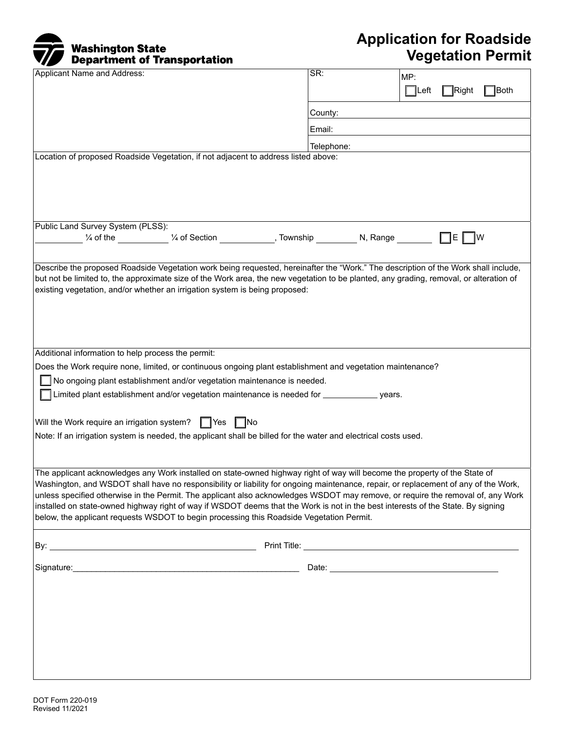## Washington State Department of Transportation

## **Application for Roadside Vegetation Permit**

| Applicant Name and Address:                                                                                                                                                                                                                                         | $\overline{\mathsf{SR}}$ :<br>MP:<br>$\exists$ Both<br>∏Right<br>$\Box$ Left |
|---------------------------------------------------------------------------------------------------------------------------------------------------------------------------------------------------------------------------------------------------------------------|------------------------------------------------------------------------------|
|                                                                                                                                                                                                                                                                     | County:                                                                      |
|                                                                                                                                                                                                                                                                     | Email:                                                                       |
|                                                                                                                                                                                                                                                                     | Telephone:                                                                   |
| Location of proposed Roadside Vegetation, if not adjacent to address listed above:                                                                                                                                                                                  |                                                                              |
|                                                                                                                                                                                                                                                                     |                                                                              |
|                                                                                                                                                                                                                                                                     |                                                                              |
|                                                                                                                                                                                                                                                                     |                                                                              |
| Public Land Survey System (PLSS):                                                                                                                                                                                                                                   |                                                                              |
|                                                                                                                                                                                                                                                                     | $\Box$ e $\Box$ w                                                            |
| Describe the proposed Roadside Vegetation work being requested, hereinafter the "Work." The description of the Work shall include,                                                                                                                                  |                                                                              |
| but not be limited to, the approximate size of the Work area, the new vegetation to be planted, any grading, removal, or alteration of                                                                                                                              |                                                                              |
| existing vegetation, and/or whether an irrigation system is being proposed:                                                                                                                                                                                         |                                                                              |
|                                                                                                                                                                                                                                                                     |                                                                              |
|                                                                                                                                                                                                                                                                     |                                                                              |
|                                                                                                                                                                                                                                                                     |                                                                              |
| Additional information to help process the permit:                                                                                                                                                                                                                  |                                                                              |
| Does the Work require none, limited, or continuous ongoing plant establishment and vegetation maintenance?                                                                                                                                                          |                                                                              |
| No ongoing plant establishment and/or vegetation maintenance is needed.<br>Limited plant establishment and/or vegetation maintenance is needed for _______________ years.                                                                                           |                                                                              |
|                                                                                                                                                                                                                                                                     |                                                                              |
| Will the Work require an irrigation system? $\Box$ Yes $\Box$ No                                                                                                                                                                                                    |                                                                              |
| Note: If an irrigation system is needed, the applicant shall be billed for the water and electrical costs used.                                                                                                                                                     |                                                                              |
|                                                                                                                                                                                                                                                                     |                                                                              |
| The applicant acknowledges any Work installed on state-owned highway right of way will become the property of the State of                                                                                                                                          |                                                                              |
| Washington, and WSDOT shall have no responsibility or liability for ongoing maintenance, repair, or replacement of any of the Work,                                                                                                                                 |                                                                              |
| unless specified otherwise in the Permit. The applicant also acknowledges WSDOT may remove, or require the removal of, any Work<br>installed on state-owned highway right of way if WSDOT deems that the Work is not in the best interests of the State. By signing |                                                                              |
| below, the applicant requests WSDOT to begin processing this Roadside Vegetation Permit.                                                                                                                                                                            |                                                                              |
|                                                                                                                                                                                                                                                                     |                                                                              |
|                                                                                                                                                                                                                                                                     |                                                                              |
|                                                                                                                                                                                                                                                                     |                                                                              |
|                                                                                                                                                                                                                                                                     |                                                                              |
|                                                                                                                                                                                                                                                                     |                                                                              |
|                                                                                                                                                                                                                                                                     |                                                                              |
|                                                                                                                                                                                                                                                                     |                                                                              |
|                                                                                                                                                                                                                                                                     |                                                                              |
|                                                                                                                                                                                                                                                                     |                                                                              |
|                                                                                                                                                                                                                                                                     |                                                                              |